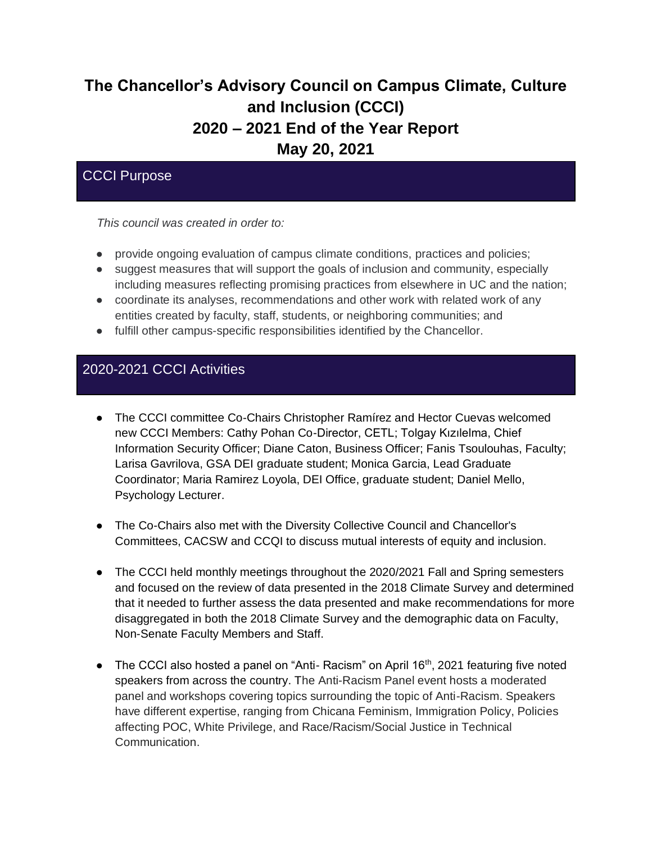# **The Chancellor's Advisory Council on Campus Climate, Culture and Inclusion (CCCI) 2020 – 2021 End of the Year Report May 20, 2021**

# CCCI Purpose

*This council was created in order to:*

- provide ongoing evaluation of campus climate conditions, practices and policies;
- suggest measures that will support the goals of inclusion and community, especially including measures reflecting promising practices from elsewhere in UC and the nation;
- coordinate its analyses, recommendations and other work with related work of any entities created by faculty, staff, students, or neighboring communities; and
- fulfill other campus-specific responsibilities identified by the Chancellor.

# 2020-2021 CCCI Activities

- The CCCI committee Co-Chairs Christopher Ramírez and Hector Cuevas welcomed new CCCI Members: Cathy Pohan Co-Director, CETL; Tolgay Kızılelma, Chief Information Security Officer; Diane Caton, Business Officer; Fanis Tsoulouhas, Faculty; Larisa Gavrilova, GSA DEI graduate student; Monica Garcia, Lead Graduate Coordinator; Maria Ramirez Loyola, DEI Office, graduate student; Daniel Mello, Psychology Lecturer.
- The Co-Chairs also met with the Diversity Collective Council and Chancellor's Committees, CACSW and CCQI to discuss mutual interests of equity and inclusion.
- The CCCI held monthly meetings throughout the 2020/2021 Fall and Spring semesters and focused on the review of data presented in the 2018 Climate Survey and determined that it needed to further assess the data presented and make recommendations for more disaggregated in both the 2018 Climate Survey and the demographic data on Faculty, Non-Senate Faculty Members and Staff.
- The CCCI also hosted a panel on "Anti- Racism" on April  $16<sup>th</sup>$ , 2021 featuring five noted speakers from across the country. The Anti-Racism Panel event hosts a moderated panel and workshops covering topics surrounding the topic of Anti-Racism. Speakers have different expertise, ranging from Chicana Feminism, Immigration Policy, Policies affecting POC, White Privilege, and Race/Racism/Social Justice in Technical Communication.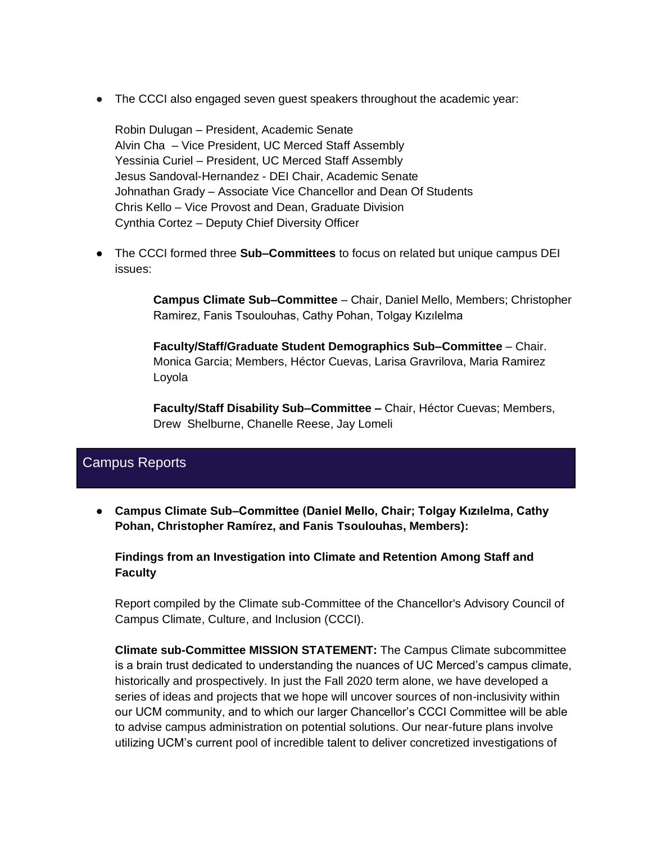● The CCCI also engaged seven guest speakers throughout the academic year:

Robin Dulugan – President, Academic Senate Alvin Cha – Vice President, UC Merced Staff Assembly Yessinia Curiel – President, UC Merced Staff Assembly Jesus Sandoval-Hernandez - DEI Chair, Academic Senate Johnathan Grady – Associate Vice Chancellor and Dean Of Students Chris Kello – Vice Provost and Dean, Graduate Division Cynthia Cortez – Deputy Chief Diversity Officer

● The CCCI formed three **Sub–Committees** to focus on related but unique campus DEI issues:

> **Campus Climate Sub–Committee** – Chair, Daniel Mello, Members; Christopher Ramirez, Fanis Tsoulouhas, Cathy Pohan, Tolgay Kızılelma

**Faculty/Staff/Graduate Student Demographics Sub–Committee** – Chair. Monica Garcia; Members, Héctor Cuevas, Larisa Gravrilova, Maria Ramirez Loyola

**Faculty/Staff Disability Sub–Committee –** Chair, Héctor Cuevas; Members, Drew Shelburne, Chanelle Reese, Jay Lomeli

# Campus Reports

● **Campus Climate Sub–Committee (Daniel Mello, Chair; Tolgay Kızılelma, Cathy Pohan, Christopher Ramírez, and Fanis Tsoulouhas, Members):**

**Findings from an Investigation into Climate and Retention Among Staff and Faculty**

Report compiled by the Climate sub-Committee of the Chancellor's Advisory Council of Campus Climate, Culture, and Inclusion (CCCI).

**Climate sub-Committee MISSION STATEMENT:** The Campus Climate subcommittee is a brain trust dedicated to understanding the nuances of UC Merced's campus climate, historically and prospectively. In just the Fall 2020 term alone, we have developed a series of ideas and projects that we hope will uncover sources of non-inclusivity within our UCM community, and to which our larger Chancellor's CCCI Committee will be able to advise campus administration on potential solutions. Our near-future plans involve utilizing UCM's current pool of incredible talent to deliver concretized investigations of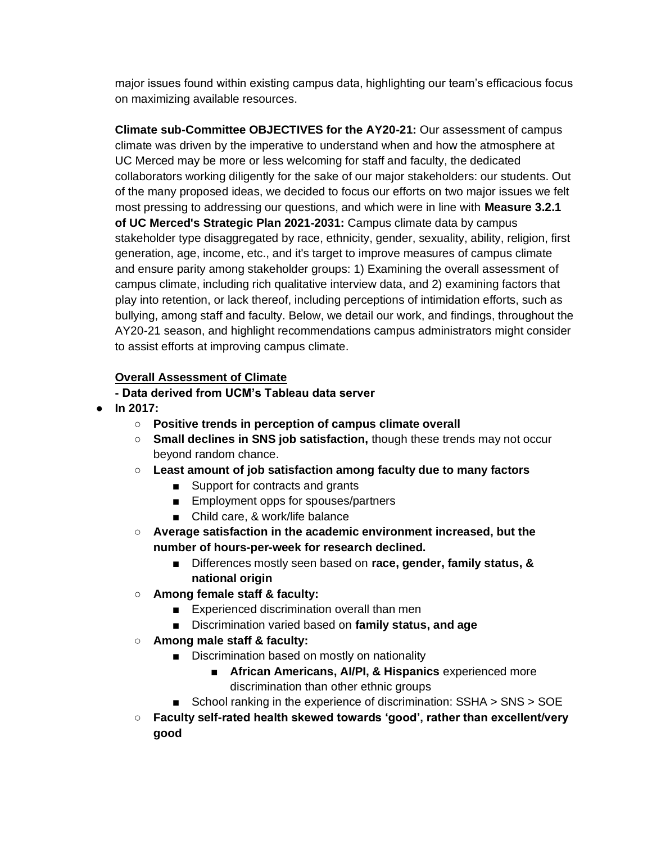major issues found within existing campus data, highlighting our team's efficacious focus on maximizing available resources.

**Climate sub-Committee OBJECTIVES for the AY20-21:** Our assessment of campus climate was driven by the imperative to understand when and how the atmosphere at UC Merced may be more or less welcoming for staff and faculty, the dedicated collaborators working diligently for the sake of our major stakeholders: our students. Out of the many proposed ideas, we decided to focus our efforts on two major issues we felt most pressing to addressing our questions, and which were in line with **Measure 3.2.1 of UC Merced's Strategic Plan 2021-2031:** Campus climate data by campus stakeholder type disaggregated by race, ethnicity, gender, sexuality, ability, religion, first generation, age, income, etc., and it's target to improve measures of campus climate and ensure parity among stakeholder groups: 1) Examining the overall assessment of campus climate, including rich qualitative interview data, and 2) examining factors that play into retention, or lack thereof, including perceptions of intimidation efforts, such as bullying, among staff and faculty. Below, we detail our work, and findings, throughout the AY20-21 season, and highlight recommendations campus administrators might consider to assist efforts at improving campus climate.

### **Overall Assessment of Climate**

- **- Data derived from UCM's Tableau data server**
- **In 2017:**
	- **Positive trends in perception of campus climate overall**
	- **Small declines in SNS job satisfaction,** though these trends may not occur beyond random chance.
	- **Least amount of job satisfaction among faculty due to many factors**
		- Support for contracts and grants
		- Employment opps for spouses/partners
		- Child care, & work/life balance
	- **Average satisfaction in the academic environment increased, but the number of hours-per-week for research declined.**
		- Differences mostly seen based on **race, gender, family status, & national origin**
	- **Among female staff & faculty:**
		- Experienced discrimination overall than men
		- Discrimination varied based on **family status, and age**
	- **Among male staff & faculty:**
		- Discrimination based on mostly on nationality
			- **African Americans, AI/PI, & Hispanics** experienced more discrimination than other ethnic groups
		- School ranking in the experience of discrimination: SSHA > SNS > SOE
	- **Faculty self-rated health skewed towards 'good', rather than excellent/very good**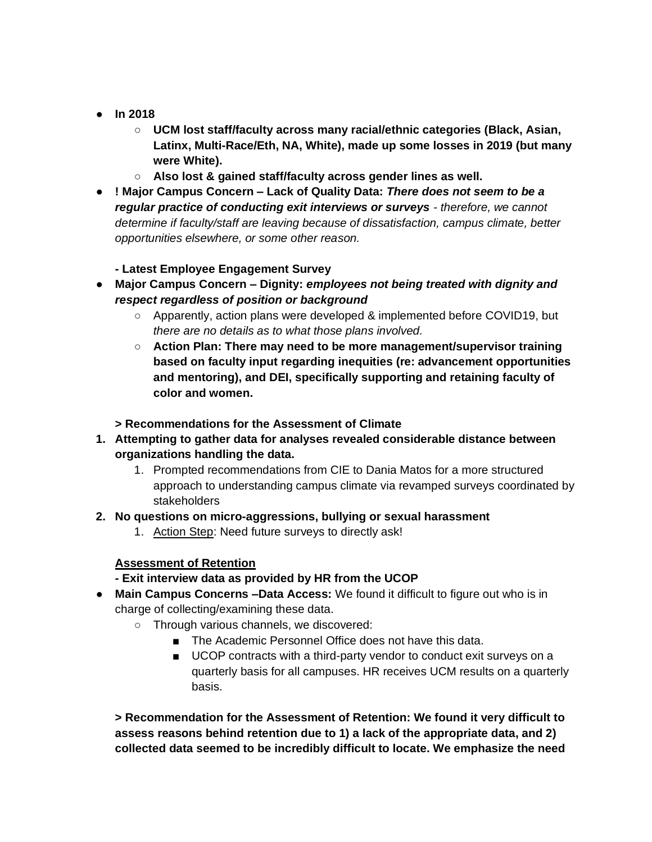- **In 2018**
	- **UCM lost staff/faculty across many racial/ethnic categories (Black, Asian, Latinx, Multi-Race/Eth, NA, White), made up some losses in 2019 (but many were White).**
	- **Also lost & gained staff/faculty across gender lines as well.**
- **! Major Campus Concern – Lack of Quality Data:** *There does not seem to be a regular practice of conducting exit interviews or surveys - therefore, we cannot determine if faculty/staff are leaving because of dissatisfaction, campus climate, better opportunities elsewhere, or some other reason.*
	- **- Latest Employee Engagement Survey**
- **Major Campus Concern – Dignity:** *employees not being treated with dignity and respect regardless of position or background*
	- Apparently, action plans were developed & implemented before COVID19, but *there are no details as to what those plans involved.*
	- **Action Plan: There may need to be more management/supervisor training based on faculty input regarding inequities (re: advancement opportunities and mentoring), and DEI, specifically supporting and retaining faculty of color and women.**

#### **> Recommendations for the Assessment of Climate**

- **1. Attempting to gather data for analyses revealed considerable distance between organizations handling the data.**
	- 1. Prompted recommendations from CIE to Dania Matos for a more structured approach to understanding campus climate via revamped surveys coordinated by stakeholders
- **2. No questions on micro-aggressions, bullying or sexual harassment**
	- 1. Action Step: Need future surveys to directly ask!

#### **Assessment of Retention**

- **- Exit interview data as provided by HR from the UCOP**
- **Main Campus Concerns –Data Access:** We found it difficult to figure out who is in charge of collecting/examining these data.
	- Through various channels, we discovered:
		- The Academic Personnel Office does not have this data.
		- UCOP contracts with a third-party vendor to conduct exit surveys on a quarterly basis for all campuses. HR receives UCM results on a quarterly basis.

**> Recommendation for the Assessment of Retention: We found it very difficult to assess reasons behind retention due to 1) a lack of the appropriate data, and 2) collected data seemed to be incredibly difficult to locate. We emphasize the need**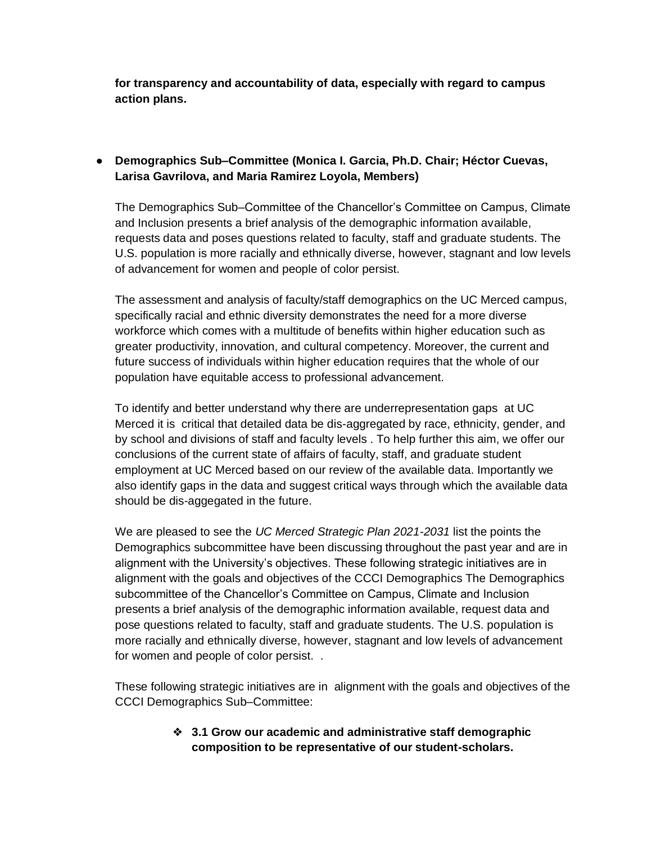**for transparency and accountability of data, especially with regard to campus action plans.**

### ● **Demographics Sub–Committee (Monica I. Garcia, Ph.D. Chair; Héctor Cuevas, Larisa Gavrilova, and Maria Ramirez Loyola, Members)**

The Demographics Sub–Committee of the Chancellor's Committee on Campus, Climate and Inclusion presents a brief analysis of the demographic information available, requests data and poses questions related to faculty, staff and graduate students. The U.S. population is more racially and ethnically diverse, however, stagnant and low levels of advancement for women and people of color persist.

The assessment and analysis of faculty/staff demographics on the UC Merced campus, specifically racial and ethnic diversity demonstrates the need for a more diverse workforce which comes with a multitude of benefits within higher education such as greater productivity, innovation, and cultural competency. Moreover, the current and future success of individuals within higher education requires that the whole of our population have equitable access to professional advancement.

To identify and better understand why there are underrepresentation gaps at UC Merced it is critical that detailed data be dis-aggregated by race, ethnicity, gender, and by school and divisions of staff and faculty levels . To help further this aim, we offer our conclusions of the current state of affairs of faculty, staff, and graduate student employment at UC Merced based on our review of the available data. Importantly we also identify gaps in the data and suggest critical ways through which the available data should be dis-aggegated in the future.

We are pleased to see the *UC Merced Strategic Plan 2021-2031* list the points the Demographics subcommittee have been discussing throughout the past year and are in alignment with the University's objectives. These following strategic initiatives are in alignment with the goals and objectives of the CCCI Demographics The Demographics subcommittee of the Chancellor's Committee on Campus, Climate and Inclusion presents a brief analysis of the demographic information available, request data and pose questions related to faculty, staff and graduate students. The U.S. population is more racially and ethnically diverse, however, stagnant and low levels of advancement for women and people of color persist. .

These following strategic initiatives are in alignment with the goals and objectives of the CCCI Demographics Sub–Committee:

> ❖ **3.1 Grow our academic and administrative staff demographic composition to be representative of our student-scholars.**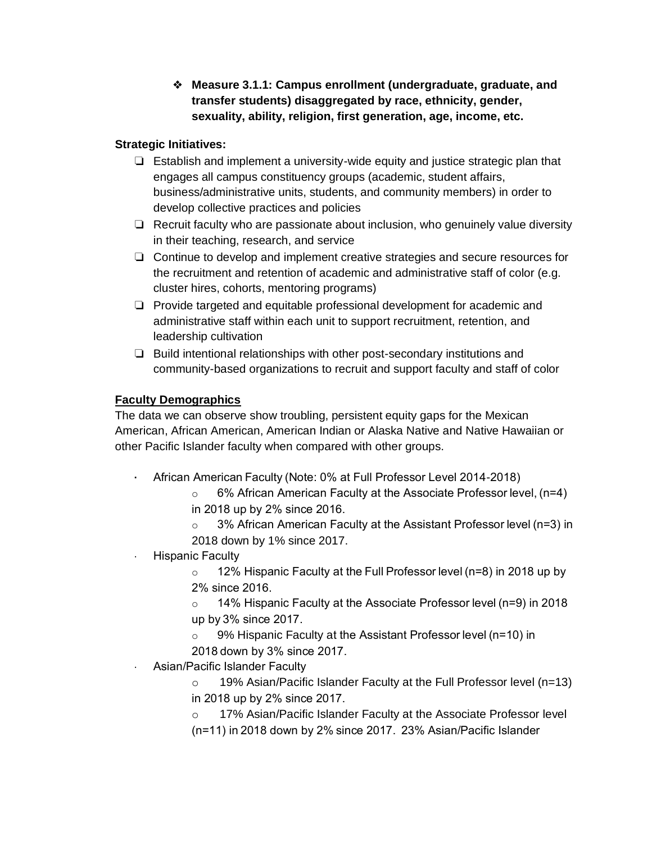❖ **Measure 3.1.1: Campus enrollment (undergraduate, graduate, and transfer students) disaggregated by race, ethnicity, gender, sexuality, ability, religion, first generation, age, income, etc.**

### **Strategic Initiatives:**

- ❏ Establish and implement a university-wide equity and justice strategic plan that engages all campus constituency groups (academic, student affairs, business/administrative units, students, and community members) in order to develop collective practices and policies
- ❏ Recruit faculty who are passionate about inclusion, who genuinely value diversity in their teaching, research, and service
- ❏ Continue to develop and implement creative strategies and secure resources for the recruitment and retention of academic and administrative staff of color (e.g. cluster hires, cohorts, mentoring programs)
- ❏ Provide targeted and equitable professional development for academic and administrative staff within each unit to support recruitment, retention, and leadership cultivation
- ❏ Build intentional relationships with other post-secondary institutions and community-based organizations to recruit and support faculty and staff of color

## **Faculty Demographics**

The data we can observe show troubling, persistent equity gaps for the Mexican American, African American, American Indian or Alaska Native and Native Hawaiian or other Pacific Islander faculty when compared with other groups.

- **·** African American Faculty (Note: 0% at Full Professor Level 2014-2018)
	- o 6% African American Faculty at the Associate Professor level, (n=4) in 2018 up by 2% since 2016.
	- 3% African American Faculty at the Assistant Professor level (n=3) in 2018 down by 1% since 2017.
- · Hispanic Faculty

 $\circ$  12% Hispanic Faculty at the Full Professor level (n=8) in 2018 up by 2% since 2016. 

o 14% Hispanic Faculty at the Associate Professor level (n=9) in 2018 up by 3% since 2017. 

o 9% Hispanic Faculty at the Assistant Professor level (n=10) in 2018 down by 3% since 2017.

- · Asian/Pacific Islander Faculty
	- o 19% Asian/Pacific Islander Faculty at the Full Professor level (n=13)

in 2018 up by 2% since 2017. 

o 17% Asian/Pacific Islander Faculty at the Associate Professor level (n=11) in 2018 down by 2% since 2017.  23% Asian/Pacific Islander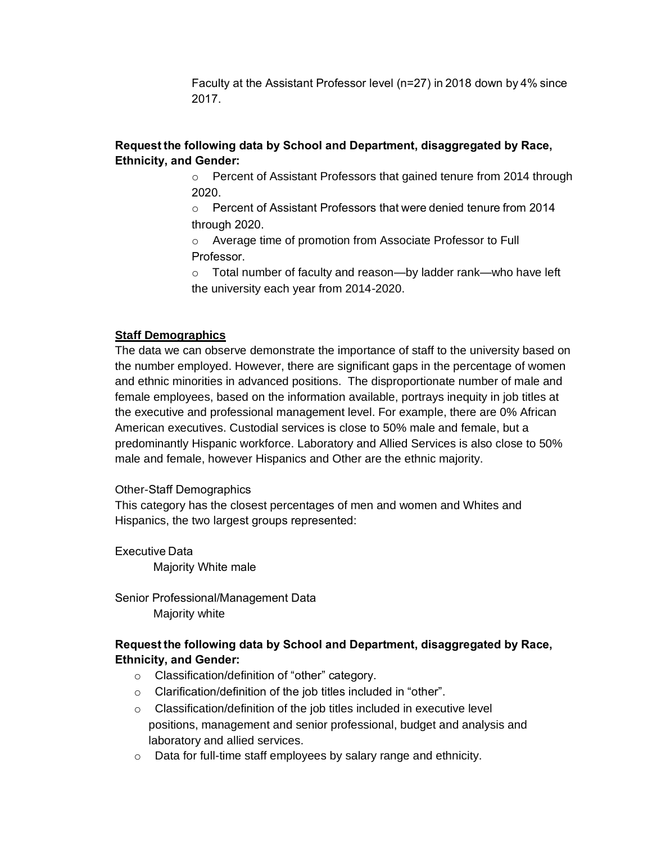Faculty at the Assistant Professor level (n=27) in 2018 down by 4% since 2017. 

# **Request the following data by School and Department, disaggregated by Race, Ethnicity, and Gender:**

o Percent of Assistant Professors that gained tenure from 2014 through 2020.  

- o Percent of Assistant Professors that were denied tenure from 2014 through 2020.
- o Average time of promotion from Associate Professor to Full Professor.
- $\circ$  Total number of faculty and reason—by ladder rank—who have left the university each year from 2014-2020.

#### **Staff Demographics**

The data we can observe demonstrate the importance of staff to the university based on the number employed. However, there are significant gaps in the percentage of women and ethnic minorities in advanced positions. The disproportionate number of male and female employees, based on the information available, portrays inequity in job titles at the executive and professional management level. For example, there are 0% African American executives. Custodial services is close to 50% male and female, but a predominantly Hispanic workforce. Laboratory and Allied Services is also close to 50% male and female, however Hispanics and Other are the ethnic majority.

#### Other-Staff Demographics

This category has the closest percentages of men and women and Whites and Hispanics, the two largest groups represented:  

Executive Data  Majority White male 

Senior Professional/Management Data   Majority white

### **Request the following data by School and Department, disaggregated by Race, Ethnicity, and Gender:**

- o Classification/definition of "other" category.
- o Clarification/definition of the job titles included in "other".
- o Classification/definition of the job titles included in executive level positions, management and senior professional, budget and analysis and laboratory and allied services.
- o Data for full-time staff employees by salary range and ethnicity.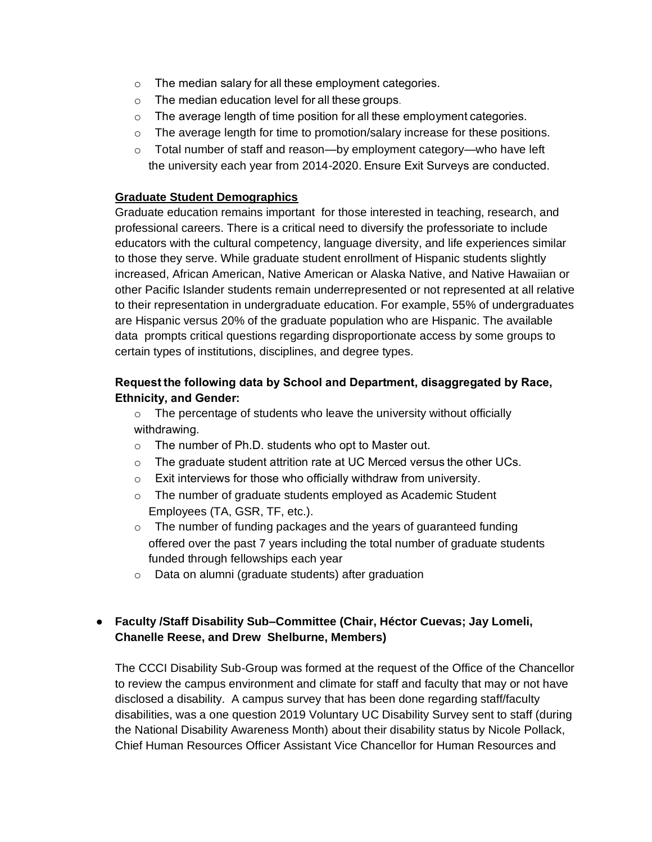- o The median salary for all these employment categories.
- o The median education level for all these groups.
- o The average length of time position for all these employment categories.
- $\circ$  The average length for time to promotion/salary increase for these positions.
- o Total number of staff and reason—by employment category—who have left the university each year from 2014-2020. Ensure Exit Surveys are conducted.

### **Graduate Student Demographics**

Graduate education remains important for those interested in teaching, research, and professional careers. There is a critical need to diversify the professoriate to include educators with the cultural competency, language diversity, and life experiences similar to those they serve. While graduate student enrollment of Hispanic students slightly increased, African American, Native American or Alaska Native, and Native Hawaiian or other Pacific Islander students remain underrepresented or not represented at all relative to their representation in undergraduate education. For example, 55% of undergraduates are Hispanic versus 20% of the graduate population who are Hispanic. The available data prompts critical questions regarding disproportionate access by some groups to certain types of institutions, disciplines, and degree types.

### **Request the following data by School and Department, disaggregated by Race, Ethnicity, and Gender:**

- $\circ$  The percentage of students who leave the university without officially withdrawing.
- o The number of Ph.D. students who opt to Master out.
- o The graduate student attrition rate at UC Merced versus the other UCs.
- $\circ$  Exit interviews for those who officially withdraw from university.
- o The number of graduate students employed as Academic Student Employees (TA, GSR, TF, etc.).
- $\circ$  The number of funding packages and the years of guaranteed funding offered over the past 7 years including the total number of graduate students funded through fellowships each year
- o Data on alumni (graduate students) after graduation

### ● **Faculty /Staff Disability Sub–Committee (Chair, Héctor Cuevas; Jay Lomeli, Chanelle Reese, and Drew Shelburne, Members)**

The CCCI Disability Sub-Group was formed at the request of the Office of the Chancellor to review the campus environment and climate for staff and faculty that may or not have disclosed a disability. A campus survey that has been done regarding staff/faculty disabilities, was a one question 2019 Voluntary UC Disability Survey sent to staff (during the National Disability Awareness Month) about their disability status by Nicole Pollack, Chief Human Resources Officer Assistant Vice Chancellor for Human Resources and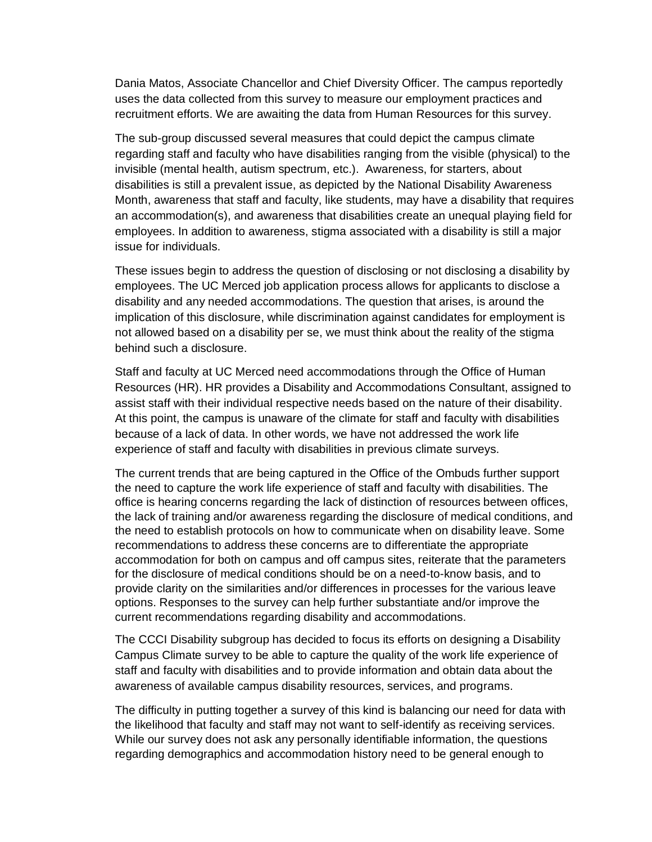Dania Matos, Associate Chancellor and Chief Diversity Officer. The campus reportedly uses the data collected from this survey to measure our employment practices and recruitment efforts. We are awaiting the data from Human Resources for this survey.

The sub-group discussed several measures that could depict the campus climate regarding staff and faculty who have disabilities ranging from the visible (physical) to the invisible (mental health, autism spectrum, etc.). Awareness, for starters, about disabilities is still a prevalent issue, as depicted by the National Disability Awareness Month, awareness that staff and faculty, like students, may have a disability that requires an accommodation(s), and awareness that disabilities create an unequal playing field for employees. In addition to awareness, stigma associated with a disability is still a major issue for individuals.

These issues begin to address the question of disclosing or not disclosing a disability by employees. The UC Merced job application process allows for applicants to disclose a disability and any needed accommodations. The question that arises, is around the implication of this disclosure, while discrimination against candidates for employment is not allowed based on a disability per se, we must think about the reality of the stigma behind such a disclosure.

Staff and faculty at UC Merced need accommodations through the Office of Human Resources (HR). HR provides a Disability and Accommodations Consultant, assigned to assist staff with their individual respective needs based on the nature of their disability. At this point, the campus is unaware of the climate for staff and faculty with disabilities because of a lack of data. In other words, we have not addressed the work life experience of staff and faculty with disabilities in previous climate surveys.

The current trends that are being captured in the Office of the Ombuds further support the need to capture the work life experience of staff and faculty with disabilities. The office is hearing concerns regarding the lack of distinction of resources between offices, the lack of training and/or awareness regarding the disclosure of medical conditions, and the need to establish protocols on how to communicate when on disability leave. Some recommendations to address these concerns are to differentiate the appropriate accommodation for both on campus and off campus sites, reiterate that the parameters for the disclosure of medical conditions should be on a need-to-know basis, and to provide clarity on the similarities and/or differences in processes for the various leave options. Responses to the survey can help further substantiate and/or improve the current recommendations regarding disability and accommodations.

The CCCI Disability subgroup has decided to focus its efforts on designing a Disability Campus Climate survey to be able to capture the quality of the work life experience of staff and faculty with disabilities and to provide information and obtain data about the awareness of available campus disability resources, services, and programs.

The difficulty in putting together a survey of this kind is balancing our need for data with the likelihood that faculty and staff may not want to self-identify as receiving services. While our survey does not ask any personally identifiable information, the questions regarding demographics and accommodation history need to be general enough to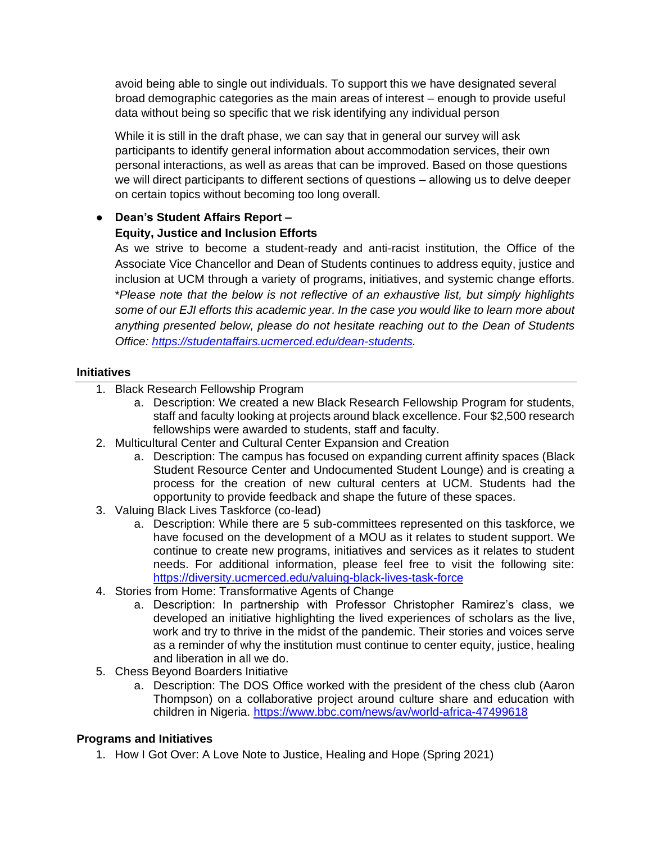avoid being able to single out individuals. To support this we have designated several broad demographic categories as the main areas of interest – enough to provide useful data without being so specific that we risk identifying any individual person

While it is still in the draft phase, we can say that in general our survey will ask participants to identify general information about accommodation services, their own personal interactions, as well as areas that can be improved. Based on those questions we will direct participants to different sections of questions – allowing us to delve deeper on certain topics without becoming too long overall.

### ● **Dean's Student Affairs Report – Equity, Justice and Inclusion Efforts**

As we strive to become a student-ready and anti-racist institution, the Office of the Associate Vice Chancellor and Dean of Students continues to address equity, justice and inclusion at UCM through a variety of programs, initiatives, and systemic change efforts. \**Please note that the below is not reflective of an exhaustive list, but simply highlights some of our EJI efforts this academic year. In the case you would like to learn more about anything presented below, please do not hesitate reaching out to the Dean of Students Office: [https://studentaffairs.ucmerced.edu/dean-students.](https://studentaffairs.ucmerced.edu/dean-students)* 

#### **Initiatives**

- 1. Black Research Fellowship Program
	- a. Description: We created a new Black Research Fellowship Program for students, staff and faculty looking at projects around black excellence. Four \$2,500 research fellowships were awarded to students, staff and faculty.
- 2. Multicultural Center and Cultural Center Expansion and Creation
	- a. Description: The campus has focused on expanding current affinity spaces (Black Student Resource Center and Undocumented Student Lounge) and is creating a process for the creation of new cultural centers at UCM. Students had the opportunity to provide feedback and shape the future of these spaces.
- 3. Valuing Black Lives Taskforce (co-lead)
	- a. Description: While there are 5 sub-committees represented on this taskforce, we have focused on the development of a MOU as it relates to student support. We continue to create new programs, initiatives and services as it relates to student needs. For additional information, please feel free to visit the following site: <https://diversity.ucmerced.edu/valuing-black-lives-task-force>
- 4. Stories from Home: Transformative Agents of Change
	- a. Description: In partnership with Professor Christopher Ramirez's class, we developed an initiative highlighting the lived experiences of scholars as the live, work and try to thrive in the midst of the pandemic. Their stories and voices serve as a reminder of why the institution must continue to center equity, justice, healing and liberation in all we do.
- 5. Chess Beyond Boarders Initiative
	- a. Description: The DOS Office worked with the president of the chess club (Aaron Thompson) on a collaborative project around culture share and education with children in Nigeria.<https://www.bbc.com/news/av/world-africa-47499618>

### **Programs and Initiatives**

1. How I Got Over: A Love Note to Justice, Healing and Hope (Spring 2021)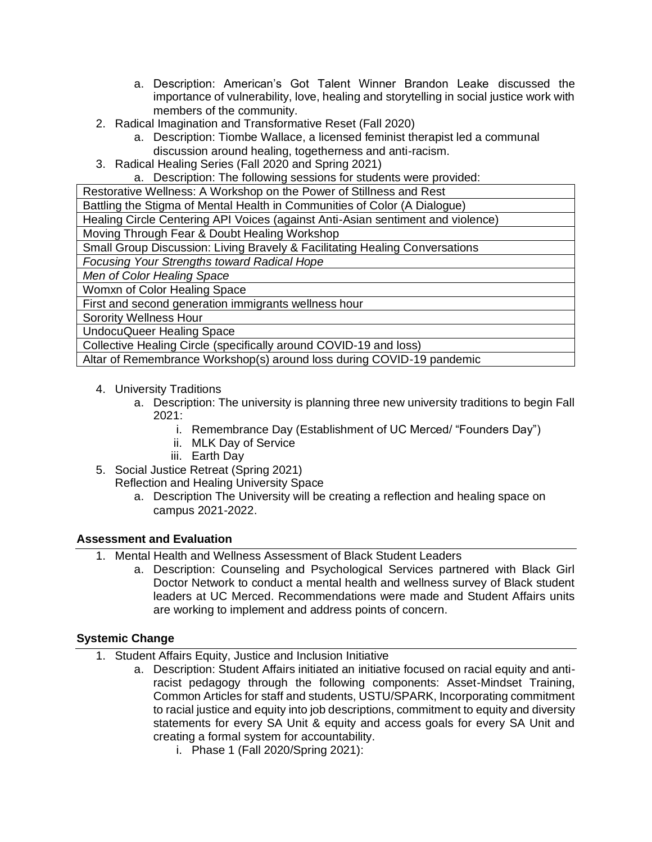- a. Description: American's Got Talent Winner Brandon Leake discussed the importance of vulnerability, love, healing and storytelling in social justice work with members of the community.
- 2. Radical Imagination and Transformative Reset (Fall 2020)
	- a. Description: Tiombe Wallace, a licensed feminist therapist led a communal discussion around healing, togetherness and anti-racism.
- 3. Radical Healing Series (Fall 2020 and Spring 2021)
	- a. Description: The following sessions for students were provided:

Restorative Wellness: A Workshop on the Power of Stillness and Rest

Battling the Stigma of Mental Health in Communities of Color (A Dialogue)

Healing Circle Centering API Voices (against Anti-Asian sentiment and violence)

Moving Through Fear & Doubt Healing Workshop

Small Group Discussion: Living Bravely & Facilitating Healing Conversations

*Focusing Your Strengths toward Radical Hope*

*Men of Color Healing Space*

Womxn of Color Healing Space

First and second generation immigrants wellness hour

Sorority Wellness Hour

UndocuQueer Healing Space

Collective Healing Circle (specifically around COVID-19 and loss)

Altar of Remembrance Workshop(s) around loss during COVID-19 pandemic

- 4. University Traditions
	- a. Description: The university is planning three new university traditions to begin Fall 2021:
		- i. Remembrance Day (Establishment of UC Merced/ "Founders Day")
		- ii. MLK Day of Service
		- iii. Earth Day
- 5. Social Justice Retreat (Spring 2021)

Reflection and Healing University Space

a. Description The University will be creating a reflection and healing space on campus 2021-2022.

### **Assessment and Evaluation**

- 1. Mental Health and Wellness Assessment of Black Student Leaders
	- a. Description: Counseling and Psychological Services partnered with Black Girl Doctor Network to conduct a mental health and wellness survey of Black student leaders at UC Merced. Recommendations were made and Student Affairs units are working to implement and address points of concern.

### **Systemic Change**

- 1. Student Affairs Equity, Justice and Inclusion Initiative
	- a. Description: Student Affairs initiated an initiative focused on racial equity and antiracist pedagogy through the following components: Asset-Mindset Training, Common Articles for staff and students, USTU/SPARK, Incorporating commitment to racial justice and equity into job descriptions, commitment to equity and diversity statements for every SA Unit & equity and access goals for every SA Unit and creating a formal system for accountability.
		- i. Phase 1 (Fall 2020/Spring 2021):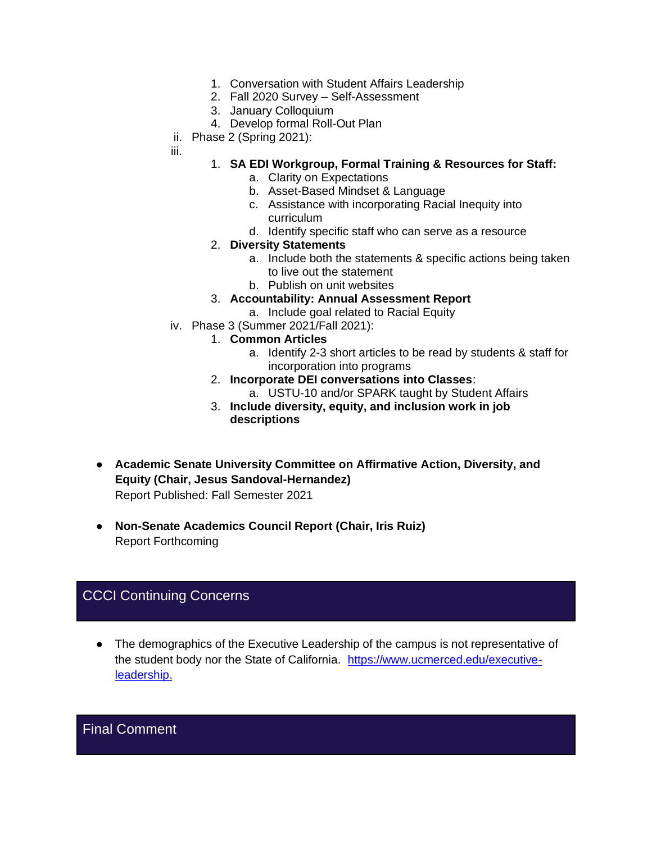- 1. Conversation with Student Affairs Leadership
- 2. Fall 2020 Survey Self-Assessment
- 3. January Colloquium
- 4. Develop formal Roll-Out Plan
- ii. Phase 2 (Spring 2021):
- iii.

#### 1. **SA EDI Workgroup, Formal Training & Resources for Staff:**

- a. Clarity on Expectations
- b. Asset-Based Mindset & Language
- c. Assistance with incorporating Racial Inequity into curriculum
- d. Identify specific staff who can serve as a resource

#### 2. **Diversity Statements**

- a. Include both the statements & specific actions being taken to live out the statement
- b. Publish on unit websites
- 3. **Accountability: Annual Assessment Report**
	- a. Include goal related to Racial Equity
- iv. Phase 3 (Summer 2021/Fall 2021):
	- 1. **Common Articles**
		- a. Identify 2-3 short articles to be read by students & staff for incorporation into programs
	- 2. **Incorporate DEI conversations into Classes**:
		- a. USTU-10 and/or SPARK taught by Student Affairs
	- 3. **Include diversity, equity, and inclusion work in job descriptions**
- **Academic Senate University Committee on Affirmative Action, Diversity, and Equity (Chair, Jesus Sandoval-Hernandez)** Report Published: Fall Semester 2021
- **Non-Senate Academics Council Report (Chair, Iris Ruiz)**  Report Forthcoming

# CCCI Continuing Concerns

● The demographics of the Executive Leadership of the campus is not representative of the student body nor the State of California. [https://www.ucmerced.edu/executive](https://www.ucmerced.edu/executive-leadership)[leadership.](https://www.ucmerced.edu/executive-leadership)

# Final Comment